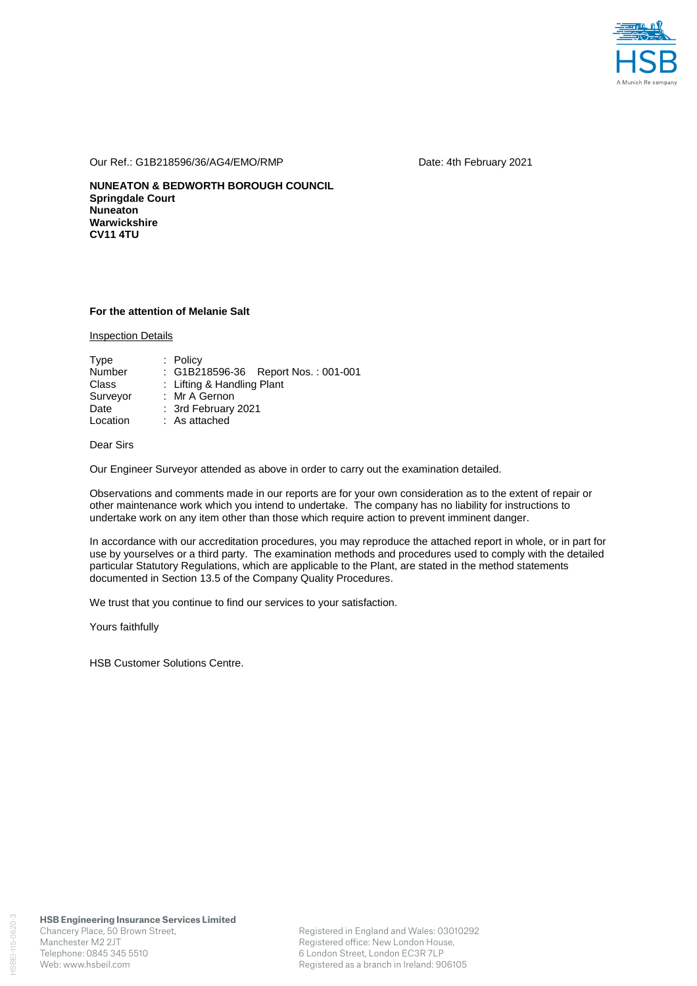

Our Ref.: G1B218596/36/AG4/EMO/RMP Date: 4th February 2021

**NUNEATON & BEDWORTH BOROUGH COUNCIL Springdale Court Nuneaton Warwickshire CV11 4TU** 

### **For the attention of Melanie Salt**

Inspection Details

| Type     | $:$ Policy                          |  |  |  |  |
|----------|-------------------------------------|--|--|--|--|
| Number   | : G1B218596-36 Report Nos.: 001-001 |  |  |  |  |
| Class    | : Lifting & Handling Plant          |  |  |  |  |
| Surveyor | : Mr A Gernon                       |  |  |  |  |
| Date     | : 3rd February 2021                 |  |  |  |  |
| Location | : As attached                       |  |  |  |  |

# Dear Sirs

Our Engineer Surveyor attended as above in order to carry out the examination detailed.

Observations and comments made in our reports are for your own consideration as to the extent of repair or other maintenance work which you intend to undertake. The company has no liability for instructions to undertake work on any item other than those which require action to prevent imminent danger.

In accordance with our accreditation procedures, you may reproduce the attached report in whole, or in part for use by yourselves or a third party. The examination methods and procedures used to comply with the detailed particular Statutory Regulations, which are applicable to the Plant, are stated in the method statements documented in Section 13.5 of the Company Quality Procedures.

We trust that you continue to find our services to your satisfaction.

Yours faithfully

HSB Customer Solutions Centre.